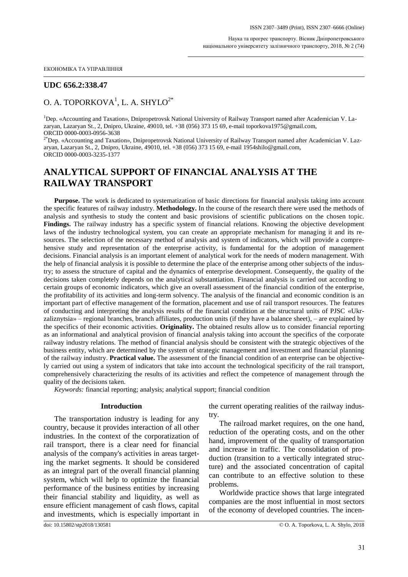ЕКОНОМІКА ТА УПРАВЛІННЯ

## **UDC 656.2:338.47**

## O. A. TOPORKOVA $^{\rm l}$ , L. A. SHYLO $^{\rm 2^{\ast}}$

<sup>1</sup>Dep. «Accounting and Taxation», Dnipropetrovsk National University of Railway Transport named after Academician V. Lazaryan, Lazaryan St., 2, Dnipro, Ukraine, 49010, tel. +38 (056) 373 15 69, e-mail [toporkova1975@gmail.com,](mailto:toporkova1975@gmail.com) ORCID 0000-0003-0956-3638

 $2*$ Dep. «Accounting and Taxation», Dnipropetrovsk National University of Railway Transport named after Academician V. Lazaryan, Lazaryan St., 2, Dnipro, Ukraine, 49010, tel. +38 (056) 373 15 69, e-mail [1954shilo@gmail.com,](mailto:1954shilo@gmail.com) ORCID 0000-0003-3235-1377

# **ANALYTICAL SUPPORT OF FINANCIAL ANALYSIS AT THE RAILWAY TRANSPORT**

**Purpose.** The work is dedicated to systematization of basic directions for financial analysis taking into account the specific features of railway industry. **Methodology.** In the course of the research there were used the methods of analysis and synthesis to study the content and basic provisions of scientific publications on the chosen topic. **Findings.** The railway industry has a specific system of financial relations. Knowing the objective development laws of the industry technological system, you can create an appropriate mechanism for managing it and its resources. The selection of the necessary method of analysis and system of indicators, which will provide a comprehensive study and representation of the enterprise activity, is fundamental for the adoption of management decisions. Financial analysis is an important element of analytical work for the needs of modern management. With the help of financial analysis it is possible to determine the place of the enterprise among other subjects of the industry; to assess the structure of capital and the dynamics of enterprise development. Consequently, the quality of the decisions taken completely depends on the analytical substantiation. Financial analysis is carried out according to certain groups of economic indicators, which give an overall assessment of the financial condition of the enterprise, the profitability of its activities and long-term solvency. The analysis of the financial and economic condition is an important part of effective management of the formation, placement and use of rail transport resources. The features of conducting and interpreting the analysis results of the financial condition at the structural units of PJSC «Ukrzaliznytsia» – regional branches, branch affiliates, production units (if they have a balance sheet), – are explained by the specifics of their economic activities. **Originality.** The obtained results allow us to consider financial reporting as an informational and analytical provision of financial analysis taking into account the specifics of the corporate railway industry relations. The method of financial analysis should be consistent with the strategic objectives of the business entity, which are determined by the system of strategic management and investment and financial planning of the railway industry. **Practical value.** The assessment of the financial condition of an enterprise can be objectively carried out using a system of indicators that take into account the technological specificity of the rail transport, comprehensively characterizing the results of its activities and reflect the competence of management through the quality of the decisions taken.

*Keywords:* financial reporting; analysis; analytical support; financial condition

#### **Introduction**

The transportation industry is leading for any country, because it provides interaction of all other industries. In the context of the corporatization of rail transport, there is a clear need for financial analysis of the company's activities in areas targeting the market segments. It should be considered as an integral part of the overall financial planning system, which will help to optimize the financial performance of the business entities by increasing their financial stability and liquidity, as well as ensure efficient management of cash flows, capital and investments, which is especially important in the current operating realities of the railway industry.

The railroad market requires, on the one hand, reduction of the operating costs, and on the other hand, improvement of the quality of transportation and increase in traffic. The consolidation of production (transition to a vertically integrated structure) and the associated concentration of capital can contribute to an effective solution to these problems.

Worldwide practice shows that large integrated companies are the most influential in most sectors of the economy of developed countries. The incen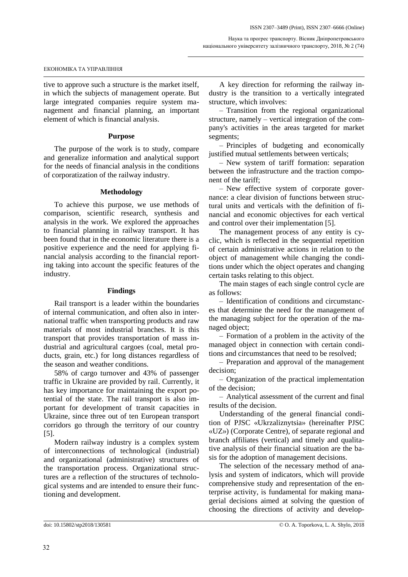tive to approve such a structure is the market itself, in which the subjects of management operate. But large integrated companies require system management and financial planning, an important element of which is financial analysis.

### **Purpose**

The purpose of the work is to study, compare and generalize information and analytical support for the needs of financial analysis in the conditions of corporatization of the railway industry.

### **Methodology**

To achieve this purpose, we use methods of comparison, scientific research, synthesis and analysis in the work. We explored the approaches to financial planning in railway transport. It has been found that in the economic literature there is a positive experience and the need for applying financial analysis according to the financial reporting taking into account the specific features of the industry.

### **Findings**

Rail transport is a leader within the boundaries of internal communication, and often also in international traffic when transporting products and raw materials of most industrial branches. It is this transport that provides transportation of mass industrial and agricultural cargoes (coal, metal products, grain, etc.) for long distances regardless of the season and weather conditions.

58% of cargo turnover and 43% of passenger traffic in Ukraine are provided by rail. Currently, it has key importance for maintaining the export potential of the state. The rail transport is also important for development of transit capacities in Ukraine, since three out of ten European transport corridors go through the territory of our country [5].

Modern railway industry is a complex system of interconnections of technological (industrial) and organizational (administrative) structures of the transportation process. Organizational structures are a reflection of the structures of technological systems and are intended to ensure their functioning and development.

A key direction for reforming the railway industry is the transition to a vertically integrated structure, which involves:

– Transition from the regional organizational structure, namely – vertical integration of the company's activities in the areas targeted for market segments;

– Principles of budgeting and economically justified mutual settlements between verticals;

– New system of tariff formation: separation between the infrastructure and the traction component of the tariff;

– New effective system of corporate governance: a clear division of functions between structural units and verticals with the definition of financial and economic objectives for each vertical and control over their implementation [5].

The management process of any entity is cyclic, which is reflected in the sequential repetition of certain administrative actions in relation to the object of management while changing the conditions under which the object operates and changing certain tasks relating to this object.

The main stages of each single control cycle are as follows:

– Identification of conditions and circumstances that determine the need for the management of the managing subject for the operation of the managed object;

– Formation of a problem in the activity of the managed object in connection with certain conditions and circumstances that need to be resolved;

– Preparation and approval of the management decision;

– Organization of the practical implementation of the decision;

– Analytical assessment of the current and final results of the decision.

Understanding of the general financial condition of PJSC «Ukrzaliznytsia» (hereinafter PJSC «UZ») (Corporate Centre), of separate regional and branch affiliates (vertical) and timely and qualitative analysis of their financial situation are the basis for the adoption of management decisions.

The selection of the necessary method of analysis and system of indicators, which will provide comprehensive study and representation of the enterprise activity, is fundamental for making managerial decisions aimed at solving the question of choosing the directions of activity and develop-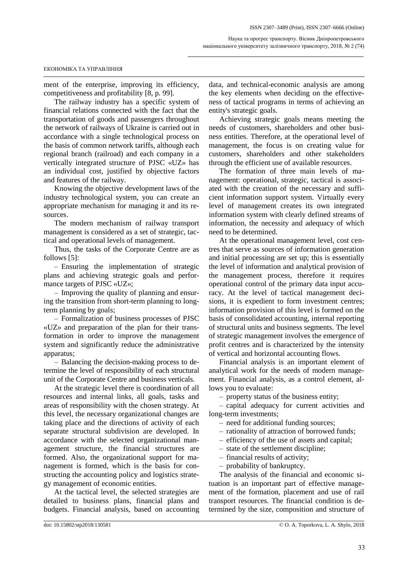ment of the enterprise, improving its efficiency, competitiveness and profitability [8, p. 99].

The railway industry has a specific system of financial relations connected with the fact that the transportation of goods and passengers throughout the network of railways of Ukraine is carried out in accordance with a single technological process on the basis of common network tariffs, although each regional branch (railroad) and each company in a vertically integrated structure of PJSC «UZ» has an individual cost, justified by objective factors and features of the railway.

Knowing the objective development laws of the industry technological system, you can create an appropriate mechanism for managing it and its resources.

The modern mechanism of railway transport management is considered as a set of strategic, tactical and operational levels of management.

Thus, the tasks of the Corporate Centre are as follows [5]:

– Ensuring the implementation of strategic plans and achieving strategic goals and performance targets of PJSC «UZ»;

– Improving the quality of planning and ensuring the transition from short-term planning to longterm planning by goals;

– Formalization of business processes of PJSC «UZ» and preparation of the plan for their transformation in order to improve the management system and significantly reduce the administrative apparatus;

– Balancing the decision-making process to determine the level of responsibility of each structural unit of the Corporate Centre and business verticals.

At the strategic level there is coordination of all resources and internal links, all goals, tasks and areas of responsibility with the chosen strategy. At this level, the necessary organizational changes are taking place and the directions of activity of each separate structural subdivision are developed. In accordance with the selected organizational management structure, the financial structures are formed. Also, the organizational support for management is formed, which is the basis for constructing the accounting policy and logistics strategy management of economic entities.

At the tactical level, the selected strategies are detailed to business plans, financial plans and budgets. Financial analysis, based on accounting data, and technical-economic analysis are among the key elements when deciding on the effectiveness of tactical programs in terms of achieving an entity's strategic goals.

Achieving strategic goals means meeting the needs of customers, shareholders and other business entities. Therefore, at the operational level of management, the focus is on creating value for customers, shareholders and other stakeholders through the efficient use of available resources.

The formation of three main levels of management: operational, strategic, tactical is associated with the creation of the necessary and sufficient information support system. Virtually every level of management creates its own integrated information system with clearly defined streams of information, the necessity and adequacy of which need to be determined.

At the operational management level, cost centres that serve as sources of information generation and initial processing are set up; this is essentially the level of information and analytical provision of the management process, therefore it requires operational control of the primary data input accuracy. At the level of tactical management decisions, it is expedient to form investment centres; information provision of this level is formed on the basis of consolidated accounting, internal reporting of structural units and business segments. The level of strategic management involves the emergence of profit centres and is characterized by the intensity of vertical and horizontal accounting flows.

Financial analysis is an important element of analytical work for the needs of modern management. Financial analysis, as a control element, allows you to evaluate:

– property status of the business entity;

– capital adequacy for current activities and long-term investments;

- need for additional funding sources;
- rationality of attraction of borrowed funds;
- efficiency of the use of assets and capital;
- state of the settlement discipline;
- financial results of activity;
- probability of bankruptcy.

The analysis of the financial and economic situation is an important part of effective management of the formation, placement and use of rail transport resources. The financial condition is determined by the size, composition and structure of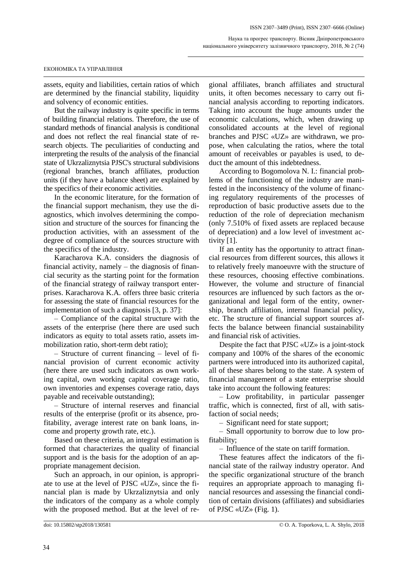assets, equity and liabilities, certain ratios of which are determined by the financial stability, liquidity and solvency of economic entities.

But the railway industry is quite specific in terms of building financial relations. Therefore, the use of standard methods of financial analysis is conditional and does not reflect the real financial state of research objects. The peculiarities of conducting and interpreting the results of the analysis of the financial state of Ukrzaliznytsia PJSC's structural subdivisions (regional branches, branch affiliates, production units (if they have a balance sheet) are explained by the specifics of their economic activities.

In the economic literature, for the formation of the financial support mechanism, they use the diagnostics, which involves determining the composition and structure of the sources for financing the production activities, with an assessment of the degree of compliance of the sources structure with the specifics of the industry.

Karacharova K.A. considers the diagnosis of financial activity, namely – the diagnosis of financial security as the starting point for the formation of the financial strategy of railway transport enterprises. Karacharova K.A. offers three basic criteria for assessing the state of financial resources for the implementation of such a diagnosis [3, p. 37]:

– Compliance of the capital structure with the assets of the enterprise (here there are used such indicators as equity to total assets ratio, assets immobilization ratio, short-term debt ratio);

– Structure of current financing – level of financial provision of current economic activity (here there are used such indicators as own working capital, own working capital coverage ratio, own inventories and expenses coverage ratio, days payable and receivable outstanding);

– Structure of internal reserves and financial results of the enterprise (profit or its absence, profitability, average interest rate on bank loans, income and property growth rate, etc.).

Based on these criteria, an integral estimation is formed that characterizes the quality of financial support and is the basis for the adoption of an appropriate management decision.

Such an approach, in our opinion, is appropriate to use at the level of PJSC «UZ», since the financial plan is made by Ukrzaliznytsia and only the indicators of the company as a whole comply with the proposed method. But at the level of re-

gional affiliates, branch affiliates and structural units, it often becomes necessary to carry out financial analysis according to reporting indicators. Taking into account the huge amounts under the economic calculations, which, when drawing up consolidated accounts at the level of regional branches and PJSC «UZ» are withdrawn, we propose, when calculating the ratios, where the total amount of receivables or payables is used, to deduct the amount of this indebtedness.

According to Bogomolova N. I.: financial problems of the functioning of the industry are manifested in the inconsistency of the volume of financing regulatory requirements of the processes of reproduction of basic productive assets due to the reduction of the role of depreciation mechanism (only 7.510% of fixed assets are replaced because of depreciation) and a low level of investment activity [1].

If an entity has the opportunity to attract financial resources from different sources, this allows it to relatively freely manoeuvre with the structure of these resources, choosing effective combinations. However, the volume and structure of financial resources are influenced by such factors as the organizational and legal form of the entity, ownership, branch affiliation, internal financial policy, etc. The structure of financial support sources affects the balance between financial sustainability and financial risk of activities.

Despite the fact that PJSC «UZ» is a joint-stock company and 100% of the shares of the economic partners were introduced into its authorized capital, all of these shares belong to the state. A system of financial management of a state enterprise should take into account the following features:

– Low profitability, in particular passenger traffic, which is connected, first of all, with satisfaction of social needs;

– Significant need for state support;

– Small opportunity to borrow due to low profitability;

– Influence of the state on tariff formation.

These features affect the indicators of the financial state of the railway industry operator. And the specific organizational structure of the branch requires an appropriate approach to managing financial resources and assessing the financial condition of certain divisions (affiliates) and subsidiaries of PJSC «UZ» (Fig. 1).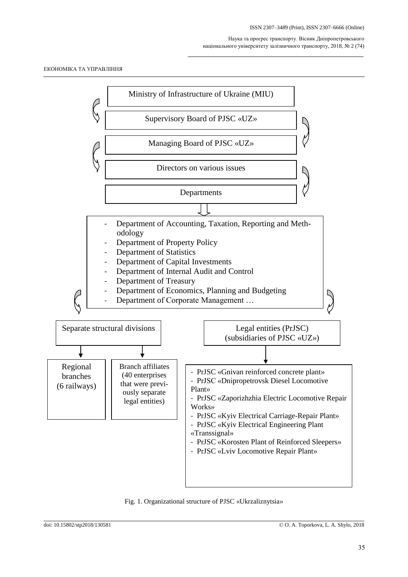

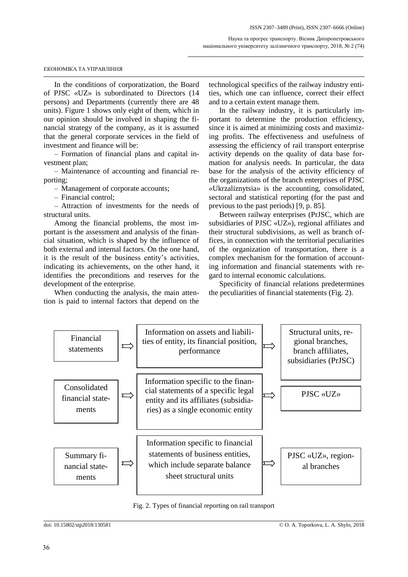#### ЕКОНОМІКА ТА УПРАВЛІННЯ

In the conditions of corporatization, the Board of PJSC «UZ» is subordinated to Directors (14 persons) and Departments (currently there are 48 units). Figure 1 shows only eight of them, which in our opinion should be involved in shaping the financial strategy of the company, as it is assumed that the general corporate services in the field of investment and finance will be:

– Formation of financial plans and capital investment plan;

– Maintenance of accounting and financial reporting;

– Management of corporate accounts;

– Financial control;

– Attraction of investments for the needs of structural units.

Among the financial problems, the most important is the assessment and analysis of the financial situation, which is shaped by the influence of both external and internal factors. On the one hand, it is the result of the business entity's activities, indicating its achievements, on the other hand, it identifies the preconditions and reserves for the development of the enterprise.

When conducting the analysis, the main attention is paid to internal factors that depend on the

technological specifics of the railway industry entities, which one can influence, correct their effect and to a certain extent manage them.

In the railway industry, it is particularly important to determine the production efficiency, since it is aimed at minimizing costs and maximizing profits. The effectiveness and usefulness of assessing the efficiency of rail transport enterprise activity depends on the quality of data base formation for analysis needs. In particular, the data base for the analysis of the activity efficiency of the organizations of the branch enterprises of PJSC «Ukrzaliznytsia» is the accounting, consolidated, sectoral and statistical reporting (for the past and previous to the past periods) [9, p. 85].

Between railway enterprises (PrJSC, which are subsidiaries of PJSC «UZ»), regional affiliates and their structural subdivisions, as well as branch offices, in connection with the territorial peculiarities of the organization of transportation, there is a complex mechanism for the formation of accounting information and financial statements with regard to internal economic calculations.

Specificity of financial relations predetermines the peculiarities of financial statements (Fig. 2).



Fig. 2. Types of financial reporting on rail transport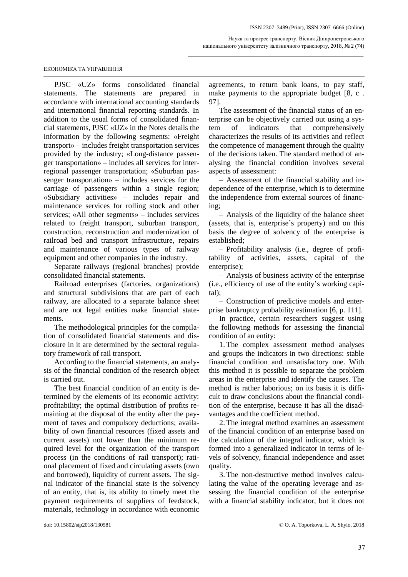PJSC «UZ» forms consolidated financial statements. The statements are prepared in accordance with international accounting standards and international financial reporting standards. In addition to the usual forms of consolidated financial statements, PJSC «UZ» in the Notes details the information by the following segments: «Freight transport» – includes freight transportation services provided by the industry; «Long-distance passenger transportation» – includes all services for interregional passenger transportation; «Suburban passenger transportation» – includes services for the carriage of passengers within a single region; «Subsidiary activities» – includes repair and maintenance services for rolling stock and other services; «All other segments» – includes services related to freight transport, suburban transport, construction, reconstruction and modernization of railroad bed and transport infrastructure, repairs and maintenance of various types of railway equipment and other companies in the industry.

Separate railways (regional branches) provide consolidated financial statements.

Railroad enterprises (factories, organizations) and structural subdivisions that are part of each railway, are allocated to a separate balance sheet and are not legal entities make financial statements.

The methodological principles for the compilation of consolidated financial statements and disclosure in it are determined by the sectoral regulatory framework of rail transport.

According to the financial statements, an analysis of the financial condition of the research object is carried out.

The best financial condition of an entity is determined by the elements of its economic activity: profitability; the optimal distribution of profits remaining at the disposal of the entity after the payment of taxes and compulsory deductions; availability of own financial resources (fixed assets and current assets) not lower than the minimum required level for the organization of the transport process (in the conditions of rail transport); rational placement of fixed and circulating assets (own and borrowed), liquidity of current assets. The signal indicator of the financial state is the solvency of an entity, that is, its ability to timely meet the payment requirements of suppliers of feedstock, materials, technology in accordance with economic agreements, to return bank loans, to pay staff, make payments to the appropriate budget [8, c . 97].

The assessment of the financial status of an enterprise can be objectively carried out using a system of indicators that comprehensively characterizes the results of its activities and reflect the competence of management through the quality of the decisions taken. The standard method of analysing the financial condition involves several aspects of assessment:

– Assessment of the financial stability and independence of the enterprise, which is to determine the independence from external sources of financing;

– Analysis of the liquidity of the balance sheet (assets, that is, enterprise's property) and on this basis the degree of solvency of the enterprise is established;

– Profitability analysis (i.e., degree of profitability of activities, assets, capital of the enterprise);

– Analysis of business activity of the enterprise (i.e., efficiency of use of the entity's working capital);

– Construction of predictive models and enterprise bankruptcy probability estimation [6, p. 111].

In practice, certain researchers suggest using the following methods for assessing the financial condition of an entity:

1. The complex assessment method analyses and groups the indicators in two directions: stable financial condition and unsatisfactory one. With this method it is possible to separate the problem areas in the enterprise and identify the causes. The method is rather laborious; on its basis it is difficult to draw conclusions about the financial condition of the enterprise, because it has all the disadvantages and the coefficient method.

2. The integral method examines an assessment of the financial condition of an enterprise based on the calculation of the integral indicator, which is formed into a generalized indicator in terms of levels of solvency, financial independence and asset quality.

3. The non-destructive method involves calculating the value of the operating leverage and assessing the financial condition of the enterprise with a financial stability indicator, but it does not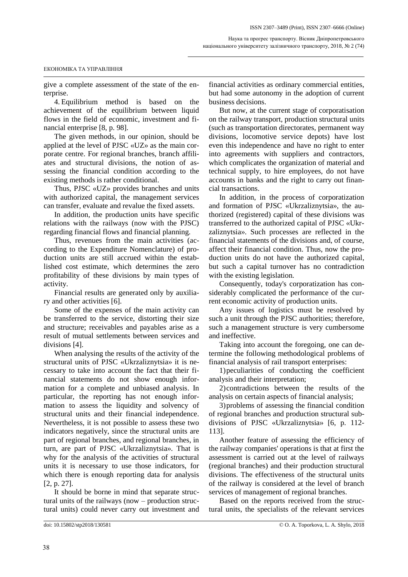give a complete assessment of the state of the enterprise.

4. Equilibrium method is based on the achievement of the equilibrium between liquid flows in the field of economic, investment and financial enterprise [8, p. 98].

The given methods, in our opinion, should be applied at the level of PJSC «UZ» as the main corporate centre. For regional branches, branch affiliates and structural divisions, the notion of assessing the financial condition according to the existing methods is rather conditional.

Thus, PJSC «UZ» provides branches and units with authorized capital, the management services can transfer, evaluate and revalue the fixed assets.

In addition, the production units have specific relations with the railways (now with the PJSC) regarding financial flows and financial planning.

Thus, revenues from the main activities (according to the Expenditure Nomenclature) of production units are still accrued within the established cost estimate, which determines the zero profitability of these divisions by main types of activity.

Financial results are generated only by auxiliary and other activities [6].

Some of the expenses of the main activity can be transferred to the service, distorting their size and structure; receivables and payables arise as a result of mutual settlements between services and divisions [4].

When analysing the results of the activity of the structural units of PJSC «Ukrzaliznytsia» it is necessary to take into account the fact that their financial statements do not show enough information for a complete and unbiased analysis. In particular, the reporting has not enough information to assess the liquidity and solvency of structural units and their financial independence. Nevertheless, it is not possible to assess these two indicators negatively, since the structural units are part of regional branches, and regional branches, in turn, are part of PJSC «Ukrzaliznytsia». That is why for the analysis of the activities of structural units it is necessary to use those indicators, for which there is enough reporting data for analysis [2, p. 27].

It should be borne in mind that separate structural units of the railways (now – production structural units) could never carry out investment and financial activities as ordinary commercial entities, but had some autonomy in the adoption of current business decisions.

But now, at the current stage of corporatisation on the railway transport, production structural units (such as transportation directorates, permanent way divisions, locomotive service depots) have lost even this independence and have no right to enter into agreements with suppliers and contractors, which complicates the organization of material and technical supply, to hire employees, do not have accounts in banks and the right to carry out financial transactions.

In addition, in the process of corporatization and formation of PJSC «Ukrzaliznytsia», the authorized (registered) capital of these divisions was transferred to the authorized capital of PJSC «Ukrzaliznytsia». Such processes are reflected in the financial statements of the divisions and, of course, affect their financial condition. Thus, now the production units do not have the authorized capital, but such a capital turnover has no contradiction with the existing legislation.

Consequently, today's corporatization has considerably complicated the performance of the current economic activity of production units.

Any issues of logistics must be resolved by such a unit through the PJSC authorities; therefore, such a management structure is very cumbersome and ineffective.

Taking into account the foregoing, one can determine the following methodological problems of financial analysis of rail transport enterprises:

1) peculiarities of conducting the coefficient analysis and their interpretation;

2) contradictions between the results of the analysis on certain aspects of financial analysis;

3) problems of assessing the financial condition of regional branches and production structural subdivisions of PJSC «Ukrzaliznytsia» [6, p. 112- 113].

Another feature of assessing the efficiency of the railway companies' operations is that at first the assessment is carried out at the level of railways (regional branches) and their production structural divisions. The effectiveness of the structural units of the railway is considered at the level of branch services of management of regional branches.

Based on the reports received from the structural units, the specialists of the relevant services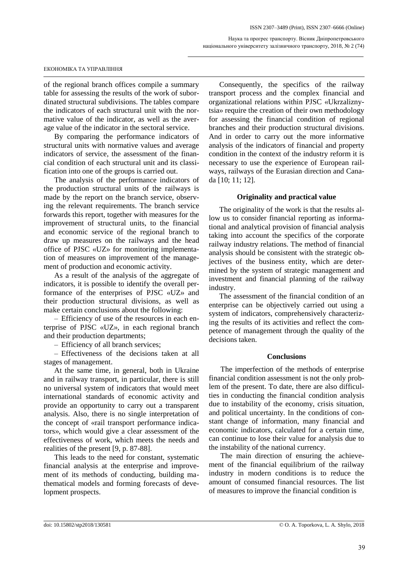#### ЕКОНОМІКА ТА УПРАВЛІННЯ

of the regional branch offices compile a summary table for assessing the results of the work of subordinated structural subdivisions. The tables compare the indicators of each structural unit with the normative value of the indicator, as well as the average value of the indicator in the sectoral service.

By comparing the performance indicators of structural units with normative values and average indicators of service, the assessment of the financial condition of each structural unit and its classification into one of the groups is carried out.

The analysis of the performance indicators of the production structural units of the railways is made by the report on the branch service, observing the relevant requirements. The branch service forwards this report, together with measures for the improvement of structural units, to the financial and economic service of the regional branch to draw up measures on the railways and the head office of PJSC «UZ» for monitoring implementation of measures on improvement of the management of production and economic activity.

As a result of the analysis of the aggregate of indicators, it is possible to identify the overall performance of the enterprises of PJSC «UZ» and their production structural divisions, as well as make certain conclusions about the following:

– Efficiency of use of the resources in each enterprise of PJSC «UZ», in each regional branch and their production departments;

– Efficiency of all branch services;

– Effectiveness of the decisions taken at all stages of management.

At the same time, in general, both in Ukraine and in railway transport, in particular, there is still no universal system of indicators that would meet international standards of economic activity and provide an opportunity to carry out a transparent analysis. Also, there is no single interpretation of the concept of «rail transport performance indicators», which would give a clear assessment of the effectiveness of work, which meets the needs and realities of the present [9, p. 87-88].

This leads to the need for constant, systematic financial analysis at the enterprise and improvement of its methods of conducting, building mathematical models and forming forecasts of development prospects.

Consequently, the specifics of the railway transport process and the complex financial and organizational relations within PJSC «Ukrzaliznytsia» require the creation of their own methodology for assessing the financial condition of regional branches and their production structural divisions. And in order to carry out the more informative analysis of the indicators of financial and property condition in the context of the industry reform it is necessary to use the experience of European railways, railways of the Eurasian direction and Canada [10; 11; 12].

### **Originality and practical value**

The originality of the work is that the results allow us to consider financial reporting as informational and analytical provision of financial analysis taking into account the specifics of the corporate railway industry relations. The method of financial analysis should be consistent with the strategic objectives of the business entity, which are determined by the system of strategic management and investment and financial planning of the railway industry.

The assessment of the financial condition of an enterprise can be objectively carried out using a system of indicators, comprehensively characterizing the results of its activities and reflect the competence of management through the quality of the decisions taken.

### **Conclusions**

The imperfection of the methods of enterprise financial condition assessment is not the only problem of the present. To date, there are also difficulties in conducting the financial condition analysis due to instability of the economy, crisis situation, and political uncertainty. In the conditions of constant change of information, many financial and economic indicators, calculated for a certain time, can continue to lose their value for analysis due to the instability of the national currency.

The main direction of ensuring the achievement of the financial equilibrium of the railway industry in modern conditions is to reduce the amount of consumed financial resources. The list of measures to improve the financial condition is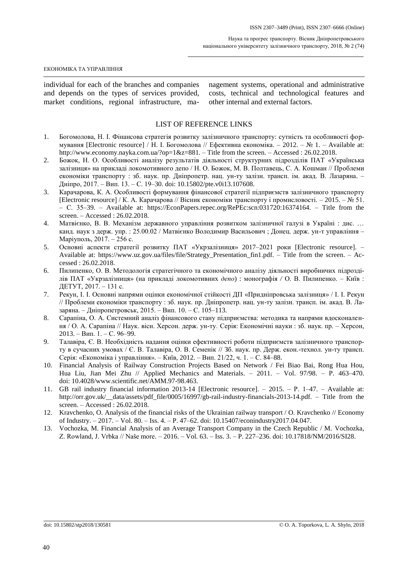individual for each of the branches and companies and depends on the types of services provided, market conditions, regional infrastructure, management systems, operational and administrative costs, technical and technological features and other internal and external factors.

### LIST OF REFERENCE LINKS

- 1. Богомолова, Н. І. Фінансова стратегія розвитку залізничного транспорту: сутність та особливості формування [Electronic resource] / Н. І. Богомолова // Ефективна економіка. – 2012. – № 1. – Available at: http://www.economy.nayka.com.ua/?op=1&z=881. – Title from the screen. – Accessed : 26.02.2018.
- 2. Божок, Н. О. Особливості аналізу результатів діяльності структурних підрозділів ПАТ «Українська залізниця» на прикладі локомотивного депо / Н. О. Божок, М. В. Полтавець, С. А. Кошман // Проблеми економіки транспорту : зб. наук. пр. Дніпропетр. нац. ун-ту залізн. трансп. ім. акад. В. Лазаряна. – Дніпро, 2017. – Вип. 13. – С. 19–30. doi: 10.15802/pte.v0i13.107608.
- 3. Карачарова, К. А. Особливості формування фінансової стратегії підприємств залізничного транспорту [Electronic resource] / К. А. Карачарова // Вісник економіки транспорту і промисловості. – 2015. – № 51. – С. 35–39. – Available at: https://EconPapers.repec.org/RePEc:scn:031720:16374164. – Title from the screen. – Accessed : 26.02.2018.
- 4. Матвієнко, В. В. Механізм державного управління розвитком залізничної галузі в Україні : дис. … канд. наук з держ. упр. : 25.00.02 / Матвієнко Володимир Васильович ; Донец. держ. ун-т управління – Маріуполь, 2017. – 256 с.
- 5. Основні аспекти стратегії розвитку ПАТ «Укрзалізниця» 2017–2021 роки [Electronic resource]. Available at: https://www.uz.gov.ua/files/file/Strategy\_Presentation\_fin1.pdf. – Title from the screen. – Accessed : 26.02.2018.
- 6. Пилипенко, О. В. Методологія стратегічного та економічного аналізу діяльності виробничих підрозділів ПАТ «Укрзалізниця» (на прикладі локомотивних *депо*) : монографія */* О. В. Пилипенко. – Київ : ДЕТУТ, 2017. – 131 с.
- 7. Рекун, І. І. Основні напрями оцінки економічної стійкості ДП «Придніпровська залізниця» / І. І. Рекун // Проблеми економіки транспорту : зб. наук. пр. Дніпропетр. нац. ун-ту залізн. трансп. ім. акад. В. Лазаряна. – Дніпропетровськ, 2015. – Вип. 10. – С. 105–113.
- 8. Сарапіна, О. А. Системний аналіз фінансового стану підприємства: методика та напрями вдосконалення / О. А. Сарапіна // Наук. вісн. Херсон. держ. ун-ту. Серія: Економічні науки : зб. наук. пр. – Херсон, 2013. – Вип. 1. – С. 96–99.
- 9. Талавіра, Є. В. Необхідність надання оцінки ефективності роботи підприємств залізничного транспорту в сучасних умовах / Є. В. Талавіра, О. В. Семенік // Зб. наук. пр. Держ. екон.-технол. ун-ту трансп. Серія: «Економіка і управління». – Київ, 2012. – Вип. 21/22, ч. 1. – С. 84–88.
- 10. Financial Analysis of Railway Construction Projects Based on Network / Fei Biao Bai, Rong Hua Hou, Hua Liu, Jian Mei Zhu // Applied Mechanics and Materials. – 2011. – Vol. 97/98. – P. 463–470. doi: 10.4028/www.scientific.net/AMM.97-98.463.
- 11. GB rail industry financial information 2013-14 [Electronic resource]. 2015. Р. 1–47. Available at: http://orr.gov.uk/\_\_data/assets/pdf\_file/0005/16997/gb-rail-industry-financials-2013-14.pdf. – Title from the screen. – Accessed : 26.02.2018.
- 12. Kravchenko, O. Analysis of the financial risks of the Ukrainian railway transport / O. Kravchenko // Economy of Industry. – 2017. – Vol. 80. – Iss. 4. – P. 47–62. doi[: 10.15407/econindustry2017.04.047.](https://doi.org/10.15407/econindustry2017.04.047)
- 13. Vochozka, M. Financial Analysis of an Average Transport Company in the Czech Republic / M. Vochozka, Z. Rowland, J. Vrbka // Naše more. – 2016. – Vol. 63. – Iss. 3. – P. 227–236. doi: 10.17818/NM/2016/SI28.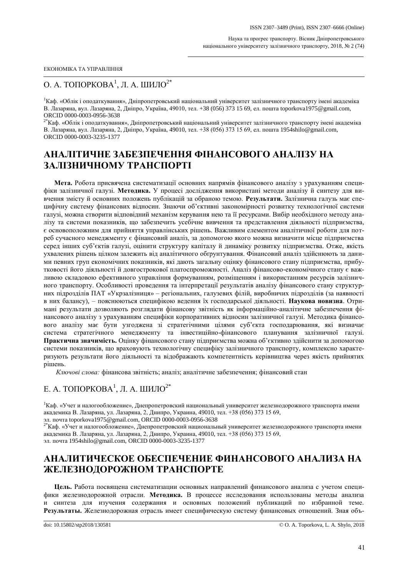## О. А. ТОПОРКОВА $^1$ , Л. А. ШИЛО $^{2^\ast}$

<sup>1</sup>Каф. «Облік і оподаткування», Дніпропетровський національний університет залізничного транспорту імені академіка В. Лазаряна, вул. Лазаряна, 2, Дніпро, Україна, 49010, тел. +38 (056) 373 15 69, ел. пошта toporkova1975@gmail.com, ORCID 0000-0003-0956-3638

2\*Каф. «Облік і оподаткування», Дніпропетровський національний університет залізничного транспорту імені академіка В. Лазаряна, вул. Лазаряна, 2, Дніпро, Україна, 49010, тел. +38 (056) 373 15 69, ел. пошта 1954shilo@gmail.com, ORCID 0000-0003-3235-1377

# **АНАЛІТИЧНЕ ЗАБЕЗПЕЧЕННЯ ФІНАНСОВОГО АНАЛІЗУ НА ЗАЛІЗНИЧНОМУ ТРАНСПОРТІ**

**Мета.** Робота присвячена систематизації основних напрямів фінансового аналізу з урахуванням специфіки залізничної галузі. **Методика.** У процесі дослідження використані методи аналізу й синтезу для вивчення змісту й основних положень публікацій за обраною темою. **Результати.** Залізнична галузь має специфічну систему фінансових відносин. Знаючи об'єктивні закономірності розвитку технологічної системи галузі, можна створити відповідний механізм керування нею та її ресурсами. Вибір необхідного методу аналізу та системи показників, що забезпечить усебічне вивчення та представлення діяльності підприємства, є основоположним для прийняття управлінських рішень. Важливим елементом аналітичної роботи для потреб сучасного менеджменту є фінансовий аналіз, за допомогою якого можна визначити місце підприємства серед інших суб'єктів галузі, оцінити структуру капіталу й динаміку розвитку підприємства. Отже, якість ухвалених рішень цілком залежить від аналітичного обґрунтування. Фінансовий аналіз здійснюють за даними певних груп економічних показників, які дають загальну оцінку фінансового стану підприємства, прибутковості його діяльності й довгострокової платоспроможності. Аналіз фінансово-економічного стану є важливою складовою ефективного управління формуванням, розміщенням і використанням ресурсів залізничного транспорту. Особливості проведення та інтерпретації результатів аналізу фінансового стану структурних підрозділів ПАТ «Укрзалізниця» – регіональних, галузевих філій, виробничих підрозділів (за наявності в них балансу), – пояснюються специфікою ведення їх господарської діяльності. **Наукова новизна**. Отримані результати дозволяють розглядати фінансову звітність як інформаційно-аналітичне забезпечення фінансового аналізу з урахуванням специфіки корпоративних відносин залізничної галузі. Методика фінансового аналізу має бути узгоджена зі стратегічними цілями суб'єкта господарювання, які визначає система стратегічного менеджменту та інвестиційно-фінансового планування залізничної галузі. **Практична значимість.** Оцінку фінансового стану підприємства можна об'єктивно здійснити за допомогою системи показників, що враховують технологічну специфіку залізничного транспорту, комплексно характеризують результати його діяльності та відображають компетентність керівництва через якість прийнятих рішень.

*Ключові слова:* фінансова звітність; аналіз; аналітичне забезпечення; фінансовий стан

## Е. А. ТОПОРКОВА $^1$ , Л. А. ШИЛО $^{2^\ast}$

<sup>1</sup>Каф. «Учет и налогообложение», Днепропетровский национальный университет железнодорожного транспорта имени академика В. Лазаряна, ул. Лазаряна, 2, Днипро, Украина, 49010, тел. +38 (056) 373 15 69,

эл. почта toporkova1975@gmail.com, ORCID 0000-0003-0956-3638

 $^{2^\ast}$ Каф. «Учет и налогообложение», Днепропетровский национальный университет железнодорожного транспорта имени академика В. Лазаряна, ул. Лазаряна, 2, Днипро, Украина, 49010, тел. +38 (056) 373 15 69,

## эл. почта 1954shilo@gmail.com, ORCID 0000-0003-3235-1377

# **АНАЛИТИЧЕСКОЕ ОБЕСПЕЧЕНИЕ ФИНАНСОВОГО АНАЛИЗА НА ЖЕЛЕЗНОДОРОЖНОМ ТРАНСПОРТЕ**

**Цель.** Работа посвящена систематизации основных направлений финансового анализа с учетом специфики железнодорожной отрасли. **Методика.** В процессе исследования использованы методы анализа и синтеза для изучения содержания и основных положений публикаций по избранной теме. **Результаты.** Железнодорожная отрасль имеет специфическую систему финансовых отношений. Зная объ-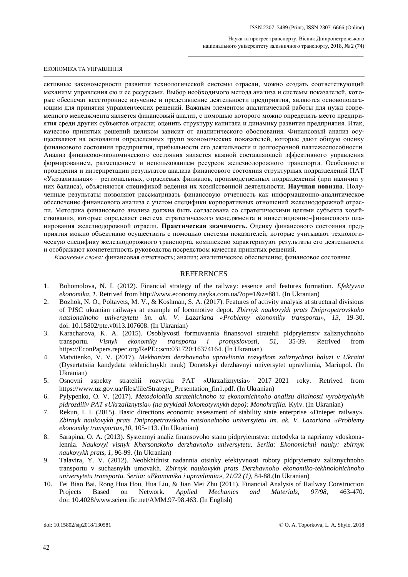#### ЕКОНОМІКА ТА УПРАВЛІННЯ

ективные закономерности развития технологической системы отрасли, можно создать соответствующий механизм управления ею и ее ресурсами. Выбор необходимого метода анализа и системы показателей, которые обеспечат всестороннее изучение и представление деятельности предприятия, являются основополагающим для принятия управленческих решений. Важным элементом аналитической работы для нужд современного менеджмента является финансовый анализ, с помощью которого можно определить место предприятия среди других субъектов отрасли; оценить структуру капитала и динамику развития предприятия. Итак, качество принятых решений целиком зависит от аналитического обоснования. Финансовый анализ осуществляют на основании определенных групп экономических показателей, которые дают общую оценку финансового состояния предприятия, прибыльности его деятельности и долгосрочной платежеспособности. Анализ финансово-экономического состояния является важной составляющей эффективного управления формированием, размещением и использованием ресурсов железнодорожного транспорта. Особенности проведения и интерпретации результатов анализа финансового состояния структурных подразделений ПАТ «Укрзализныця» – региональных, отраслевых филиалов, производственных подразделений (при наличии у них баланса), объясняются спецификой ведения их хозяйственной деятельности. **Научная новизна**. Полученные результаты позволяют рассматривать финансовую отчетность как информационно-аналитическое обеспечение финансового анализа с учетом специфики корпоративных отношений железнодорожной отрасли. Методика финансового анализа должна быть согласована со стратегическими целями субъекта хозяйствования, которые определяет система стратегического менеджмента и инвестиционно-финансового планирования железнодорожной отрасли. **Практическая значимость.** Оценку финансового состояния предприятия можно объективно осуществить с помощью системы показателей, которые учитывают технологическую специфику железнодорожного транспорта, комплексно характеризуют результаты его деятельности и отображают компетентность руководства посредством качества принятых решений.

*Ключевые слова:* финансовая отчетность; анализ; аналитическое обеспечение; финансовое состояние

## **REFERENCES**

- 1. Bohomolova, N. I. (2012). Financial strategy of the railway: essence and features formation. *Efektyvna ekonomika, 1*. Retrived from http://www.economy.nayka.com.ua/?op=1&z=881. (In Ukranian)
- 2. Bozhok, N. O., Poltavets, M. V., & Koshman, S. A. (2017). Features of activity analysis at structural divisious of PJSC ukranian railways at example of locomotive depot. *Zbirnyk naukovykh prats Dnipropetrovskoho natsionalnoho universytetu im. ak. V. Lazariana «Problemy ekonomiky transportu», 13,* 19-30. doi: 10.15802/pte.v0i13.107608. (In Ukranian)
- 3. Karacharova, K. A. (2015). Osoblyvosti formuvannia finansovoi stratehii pidpryiemstv zaliznychnoho transportu. *Visnyk ekonomiky transportu i promyslovosti, 51,* 35-39*.* Retrived from https://EconPapers.repec.org/RePEc:scn:031720:16374164. (In Ukranian)
- 4. Matviienko, V. V. (2017). *Mekhanizm derzhavnoho upravlinnia rozvytkom zaliznychnoi haluzi v Ukraini* (Dysertatsiia kandydata tekhnichnykh nauk) Donetskyi derzhavnyi universytet upravlinnia, Mariupol. (In Ukranian)
- 5. Osnovni aspekty stratehii rozvytku PAT «Ukrzaliznytsia» 2017–2021 roky. Retrived from https://www.uz.gov.ua/files/file/Strategy\_Presentation\_fin1.pdf. (In Ukranian)
- 6. Pylypenko, O. V. (2017). *Metodolohiia stratehichnoho ta ekonomichnoho analizu diialnosti vyrobnychykh pidrozdiliv PAT «Ukrzaliznytsia» (na prykladi lokomotyvnykh depo): Monohrafiia.* Kyiv. (In Ukranian)
- 7. Rekun, I. I. (2015). Basic directions economic assessment of stability state enterprise «Dnieper railway». *Zbirnyk naukovykh prats Dnipropetrovskoho natsionalnoho universytetu im. ak. V. Lazariana «Problemy ekonomiky transportu»,10*, 105-113. (In Ukranian)
- 8. Sarapina, O. A. (2013). Systemnyi analiz finansovoho stanu pidpryiemstva: metodyka ta napriamy vdoskonalennia. *Naukovyi visnyk Khersonskoho derzhavnoho universytetu. Seriia: Ekonomichni nauky: zbirnyk naukovykh prats, 1,* 96-99*.* (In Ukranian)
- 9. Talavira, Y. V. (2012). Neobkhidnist nadannia otsinky efektyvnosti roboty pidpryiemstv zaliznychnoho transportu v suchasnykh umovakh. *Zbirnyk naukovykh prats Derzhavnoho ekonomiko-tekhnolohichnoho universytetu transportu. Seriia: «Ekonomika i upravlinnia», 21/22 (1),* 84-88.(In Ukranian)
- 10. Fei Biao Bai, Rong Hua Hou, Hua Liu, & Jian Mei Zhu (2011). Financial Analysis of Railway Construction Projects Based on Network. *Applied Mechanics and Materials, 97/98,* 463-470. doi: 10.4028/www.scientific.net/AMM.97-98.463. (In English)